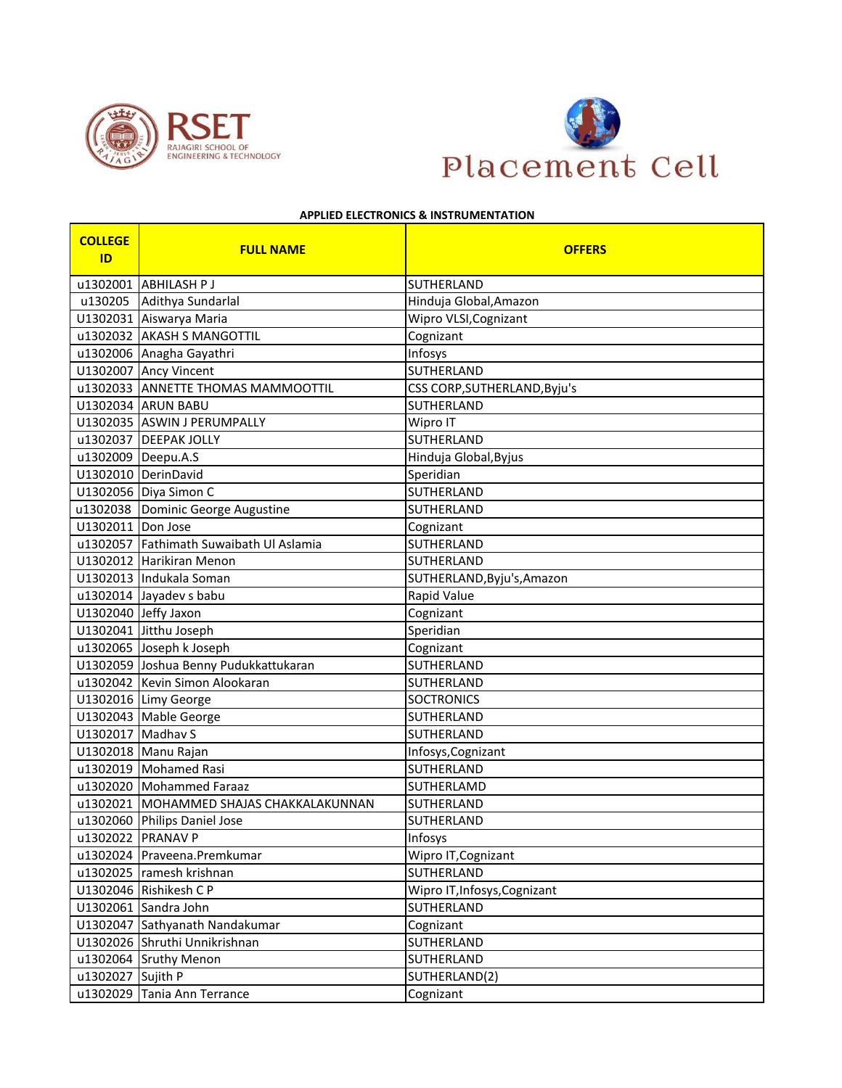



## **APPLIED ELECTRONICS & INSTRUMENTATION**

| <b>COLLEGE</b><br>ID | <b>FULL NAME</b>                        | <b>OFFERS</b>                |
|----------------------|-----------------------------------------|------------------------------|
|                      | u1302001 ABHILASH P J                   | <b>SUTHERLAND</b>            |
|                      | u130205 Adithya Sundarlal               | Hinduja Global, Amazon       |
|                      | U1302031 Aiswarya Maria                 | Wipro VLSI, Cognizant        |
|                      | u1302032 AKASH S MANGOTTIL              | Cognizant                    |
|                      | u1302006 Anagha Gayathri                | Infosys                      |
|                      | U1302007 Ancy Vincent                   | <b>SUTHERLAND</b>            |
|                      | u1302033 ANNETTE THOMAS MAMMOOTTIL      | CSS CORP, SUTHERLAND, Byju's |
|                      | U1302034 ARUN BABU                      | <b>SUTHERLAND</b>            |
|                      | U1302035 ASWIN J PERUMPALLY             | Wipro IT                     |
|                      | u1302037   DEEPAK JOLLY                 | SUTHERLAND                   |
| u1302009 Deepu.A.S   |                                         | Hinduja Global, Byjus        |
|                      | U1302010 DerinDavid                     | Speridian                    |
|                      | U1302056 Diya Simon C                   | SUTHERLAND                   |
|                      | u1302038 Dominic George Augustine       | SUTHERLAND                   |
| U1302011 Don Jose    |                                         | Cognizant                    |
|                      | u1302057 Fathimath Suwaibath Ul Aslamia | SUTHERLAND                   |
|                      | U1302012 Harikiran Menon                | <b>SUTHERLAND</b>            |
|                      | U1302013 Indukala Soman                 | SUTHERLAND, Byju's, Amazon   |
|                      | u1302014 Jayadev s babu                 | Rapid Value                  |
|                      | U1302040 Jeffy Jaxon                    | Cognizant                    |
|                      | U1302041 Jitthu Joseph                  | Speridian                    |
|                      | u1302065 Joseph k Joseph                | Cognizant                    |
|                      | U1302059 Joshua Benny Pudukkattukaran   | SUTHERLAND                   |
|                      | u1302042 Kevin Simon Alookaran          | SUTHERLAND                   |
|                      | U1302016 Limy George                    | <b>SOCTRONICS</b>            |
|                      | U1302043 Mable George                   | SUTHERLAND                   |
| U1302017 Madhav S    |                                         | SUTHERLAND                   |
|                      | U1302018 Manu Rajan                     | Infosys, Cognizant           |
|                      | u1302019 Mohamed Rasi                   | SUTHERLAND                   |
|                      | u1302020 Mohammed Faraaz                | SUTHERLAMD                   |
|                      | u1302021 MOHAMMED SHAJAS CHAKKALAKUNNAN | SUTHERLAND                   |
|                      | u1302060 Philips Daniel Jose            | SUTHERLAND                   |
| u1302022 PRANAV P    |                                         | Infosys                      |
|                      | u1302024 Praveena.Premkumar             | Wipro IT, Cognizant          |
|                      | u1302025 ramesh krishnan                | SUTHERLAND                   |
|                      | U1302046 Rishikesh C P                  | Wipro IT, Infosys, Cognizant |
|                      | U1302061 Sandra John                    | SUTHERLAND                   |
|                      | U1302047 Sathyanath Nandakumar          | Cognizant                    |
|                      | U1302026 Shruthi Unnikrishnan           | SUTHERLAND                   |
|                      | u1302064 Sruthy Menon                   | SUTHERLAND                   |
| u1302027 Sujith P    |                                         | SUTHERLAND(2)                |
|                      | u1302029 Tania Ann Terrance             | Cognizant                    |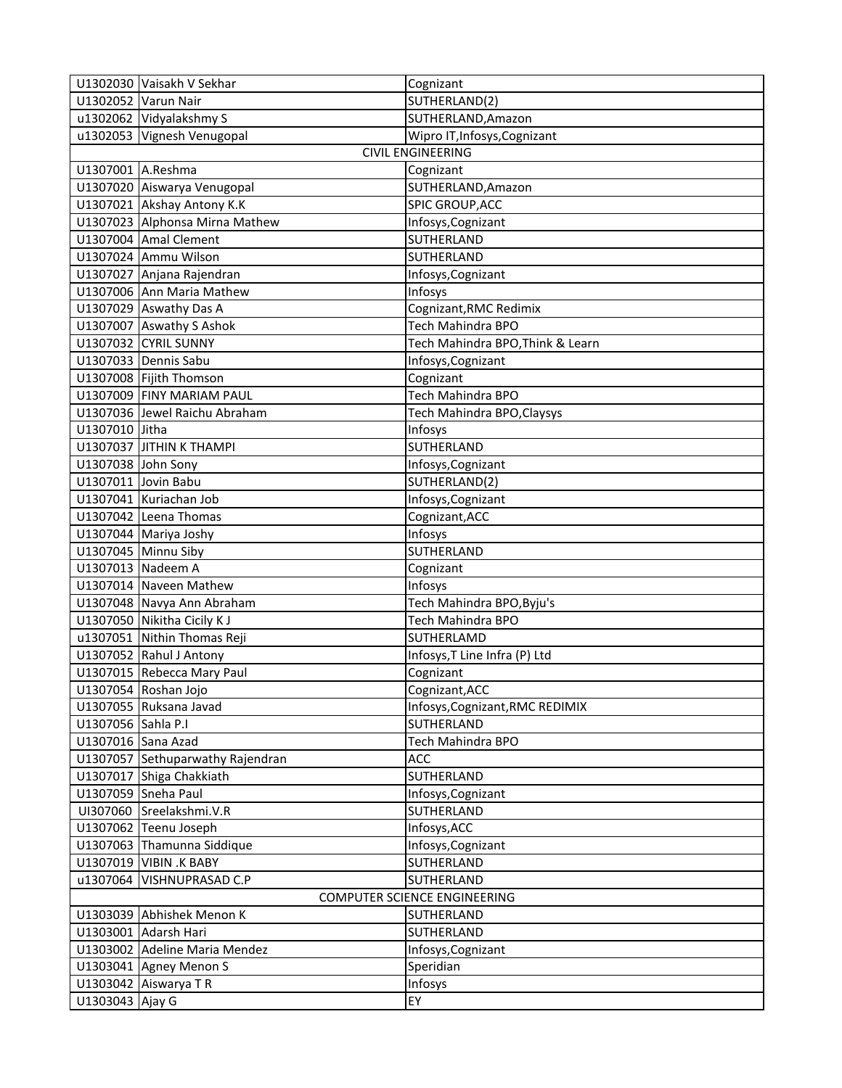|                              | U1302030 Vaisakh V Sekhar        | Cognizant                        |
|------------------------------|----------------------------------|----------------------------------|
|                              | U1302052 Varun Nair              | SUTHERLAND(2)                    |
|                              | u1302062 Vidyalakshmy S          | SUTHERLAND, Amazon               |
|                              | u1302053 Vignesh Venugopal       | Wipro IT, Infosys, Cognizant     |
|                              |                                  | <b>CIVIL ENGINEERING</b>         |
| U1307001 A.Reshma            |                                  | Cognizant                        |
|                              | U1307020 Aiswarya Venugopal      | SUTHERLAND, Amazon               |
|                              | U1307021 Akshay Antony K.K       | SPIC GROUP, ACC                  |
|                              | U1307023 Alphonsa Mirna Mathew   | Infosys, Cognizant               |
|                              | U1307004 Amal Clement            | SUTHERLAND                       |
|                              | U1307024 Ammu Wilson             | SUTHERLAND                       |
|                              | U1307027 Anjana Rajendran        | Infosys, Cognizant               |
|                              | U1307006 Ann Maria Mathew        | Infosys                          |
|                              | U1307029 Aswathy Das A           | Cognizant, RMC Redimix           |
|                              | U1307007 Aswathy S Ashok         | Tech Mahindra BPO                |
|                              | U1307032 CYRIL SUNNY             | Tech Mahindra BPO, Think & Learn |
|                              | U1307033 Dennis Sabu             | Infosys, Cognizant               |
|                              | U1307008 Fijith Thomson          | Cognizant                        |
|                              | U1307009 FINY MARIAM PAUL        | Tech Mahindra BPO                |
|                              | U1307036 Jewel Raichu Abraham    | Tech Mahindra BPO, Claysys       |
| U1307010 Jitha               |                                  | Infosys                          |
|                              | U1307037 JITHIN K THAMPI         | <b>SUTHERLAND</b>                |
| U1307038 John Sony           |                                  | Infosys, Cognizant               |
|                              | U1307011 Jovin Babu              | SUTHERLAND(2)                    |
|                              | U1307041 Kuriachan Job           | Infosys, Cognizant               |
|                              | U1307042 Leena Thomas            | Cognizant, ACC                   |
|                              | U1307044 Mariya Joshy            | Infosys                          |
|                              | U1307045 Minnu Siby              | SUTHERLAND                       |
| U1307013 Nadeem A            |                                  | Cognizant                        |
|                              | U1307014 Naveen Mathew           | Infosys                          |
|                              | U1307048 Navya Ann Abraham       | Tech Mahindra BPO, Byju's        |
|                              | U1307050 Nikitha Cicily KJ       | Tech Mahindra BPO                |
|                              | u1307051 Nithin Thomas Reji      | SUTHERLAMD                       |
|                              | U1307052 Rahul J Antony          | Infosys, T Line Infra (P) Ltd    |
|                              | U1307015 Rebecca Mary Paul       | Cognizant                        |
|                              | U1307054 Roshan Jojo             | Cognizant, ACC                   |
|                              | U1307055 Ruksana Javad           | Infosys, Cognizant, RMC REDIMIX  |
| U1307056 Sahla P.I           |                                  | SUTHERLAND                       |
| U1307016 Sana Azad           |                                  | Tech Mahindra BPO                |
|                              | U1307057 Sethuparwathy Rajendran | ACC                              |
|                              | U1307017 Shiga Chakkiath         | SUTHERLAND                       |
|                              | U1307059 Sneha Paul              | Infosys, Cognizant               |
|                              | UI307060 Sreelakshmi.V.R         | SUTHERLAND                       |
|                              | U1307062 Teenu Joseph            | Infosys, ACC                     |
|                              | U1307063 Thamunna Siddique       | Infosys, Cognizant               |
|                              | U1307019 VIBIN .K BABY           | SUTHERLAND                       |
|                              | u1307064 VISHNUPRASAD C.P        | <b>SUTHERLAND</b>                |
| COMPUTER SCIENCE ENGINEERING |                                  |                                  |
|                              | U1303039 Abhishek Menon K        | SUTHERLAND                       |
|                              | U1303001 Adarsh Hari             | SUTHERLAND                       |
|                              | U1303002 Adeline Maria Mendez    | Infosys, Cognizant               |
|                              | U1303041 Agney Menon S           | Speridian                        |
|                              | U1303042 Aiswarya TR             | Infosys                          |
| U1303043 Ajay G              |                                  | EY                               |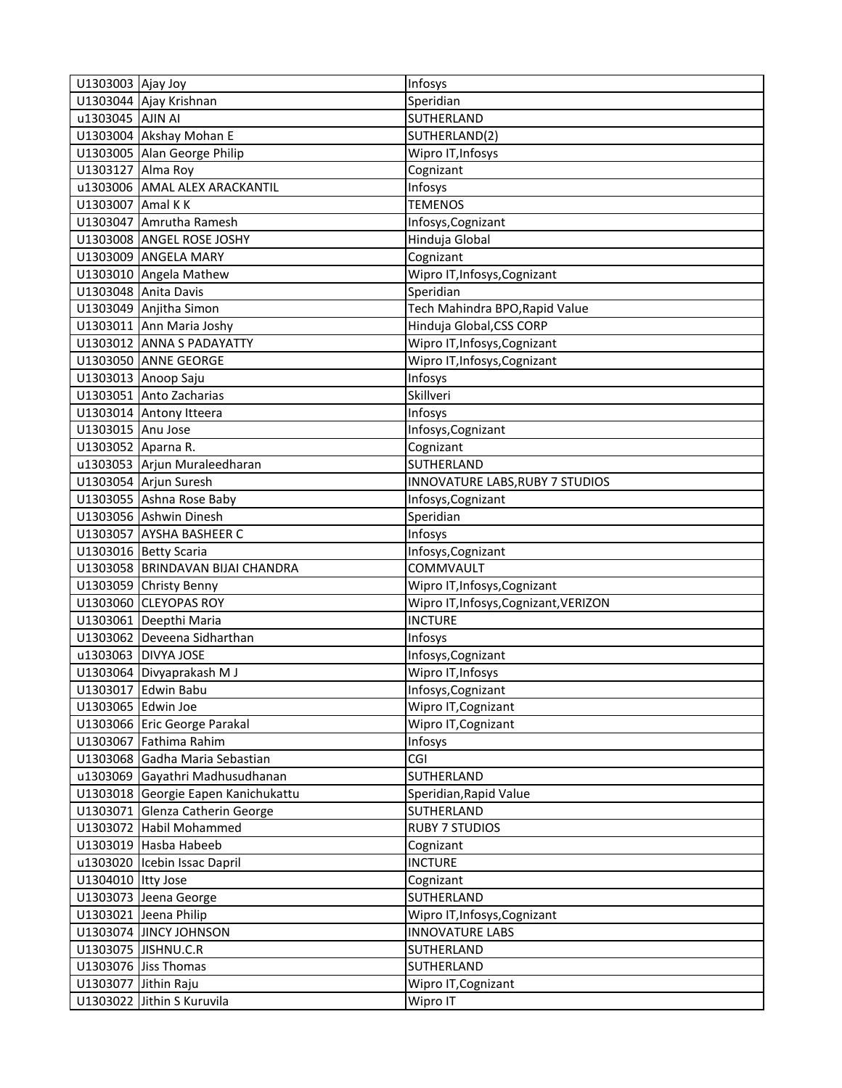| U1303003 Ajay Joy    |                                     | Infosys                               |
|----------------------|-------------------------------------|---------------------------------------|
|                      | U1303044 Ajay Krishnan              | Speridian                             |
| u1303045 AJIN AI     |                                     | SUTHERLAND                            |
|                      | U1303004 Akshay Mohan E             | SUTHERLAND(2)                         |
|                      | U1303005 Alan George Philip         | Wipro IT, Infosys                     |
| U1303127 Alma Roy    |                                     | Cognizant                             |
|                      | u1303006 AMAL ALEX ARACKANTIL       | Infosys                               |
| U1303007 Amal KK     |                                     | <b>TEMENOS</b>                        |
|                      | U1303047 Amrutha Ramesh             | Infosys, Cognizant                    |
|                      | U1303008 ANGEL ROSE JOSHY           | Hinduja Global                        |
|                      | U1303009 ANGELA MARY                | Cognizant                             |
|                      | U1303010 Angela Mathew              | Wipro IT, Infosys, Cognizant          |
|                      | U1303048 Anita Davis                | Speridian                             |
|                      | U1303049 Anjitha Simon              | Tech Mahindra BPO, Rapid Value        |
|                      | U1303011 Ann Maria Joshy            | Hinduja Global, CSS CORP              |
|                      | U1303012 ANNA S PADAYATTY           | Wipro IT, Infosys, Cognizant          |
|                      | U1303050 ANNE GEORGE                | Wipro IT, Infosys, Cognizant          |
|                      | U1303013 Anoop Saju                 | Infosys                               |
|                      | U1303051 Anto Zacharias             | Skillveri                             |
|                      | U1303014 Antony Itteera             | Infosys                               |
| U1303015 Anu Jose    |                                     | Infosys, Cognizant                    |
| U1303052 Aparna R.   |                                     | Cognizant                             |
|                      | u1303053 Arjun Muraleedharan        | SUTHERLAND                            |
|                      | U1303054 Arjun Suresh               | INNOVATURE LABS, RUBY 7 STUDIOS       |
|                      | U1303055 Ashna Rose Baby            | Infosys, Cognizant                    |
|                      | U1303056 Ashwin Dinesh              | Speridian                             |
|                      | U1303057 AYSHA BASHEER C            | Infosys                               |
|                      | U1303016 Betty Scaria               | Infosys, Cognizant                    |
|                      | U1303058 BRINDAVAN BIJAI CHANDRA    | COMMVAULT                             |
|                      | U1303059 Christy Benny              | Wipro IT, Infosys, Cognizant          |
|                      | U1303060 CLEYOPAS ROY               | Wipro IT, Infosys, Cognizant, VERIZON |
|                      | U1303061 Deepthi Maria              | <b>INCTURE</b>                        |
|                      | U1303062 Deveena Sidharthan         | Infosys                               |
|                      | u1303063 DIVYA JOSE                 | Infosys, Cognizant                    |
|                      | U1303064 Divyaprakash M J           | Wipro IT, Infosys                     |
|                      | U1303017 Edwin Babu                 | Infosys, Cognizant                    |
| U1303065 Edwin Joe   |                                     | Wipro IT, Cognizant                   |
|                      | U1303066 Eric George Parakal        | Wipro IT, Cognizant                   |
|                      | U1303067 Fathima Rahim              | Infosys                               |
|                      | U1303068 Gadha Maria Sebastian      | CGI                                   |
|                      | u1303069 Gayathri Madhusudhanan     | SUTHERLAND                            |
|                      | U1303018 Georgie Eapen Kanichukattu | Speridian, Rapid Value                |
|                      | U1303071 Glenza Catherin George     | SUTHERLAND                            |
|                      | U1303072 Habil Mohammed             | <b>RUBY 7 STUDIOS</b>                 |
|                      | U1303019 Hasba Habeeb               | Cognizant                             |
|                      | u1303020 Icebin Issac Dapril        | <b>INCTURE</b>                        |
| U1304010 Itty Jose   |                                     | Cognizant                             |
|                      | U1303073 Jeena George               | SUTHERLAND                            |
|                      | U1303021 Jeena Philip               | Wipro IT, Infosys, Cognizant          |
|                      | U1303074 JINCY JOHNSON              | <b>INNOVATURE LABS</b>                |
|                      | U1303075 JISHNU.C.R                 | SUTHERLAND                            |
|                      | U1303076 Jiss Thomas                | SUTHERLAND                            |
| U1303077 Jithin Raju |                                     | Wipro IT, Cognizant                   |
|                      | U1303022 Jithin S Kuruvila          | Wipro IT                              |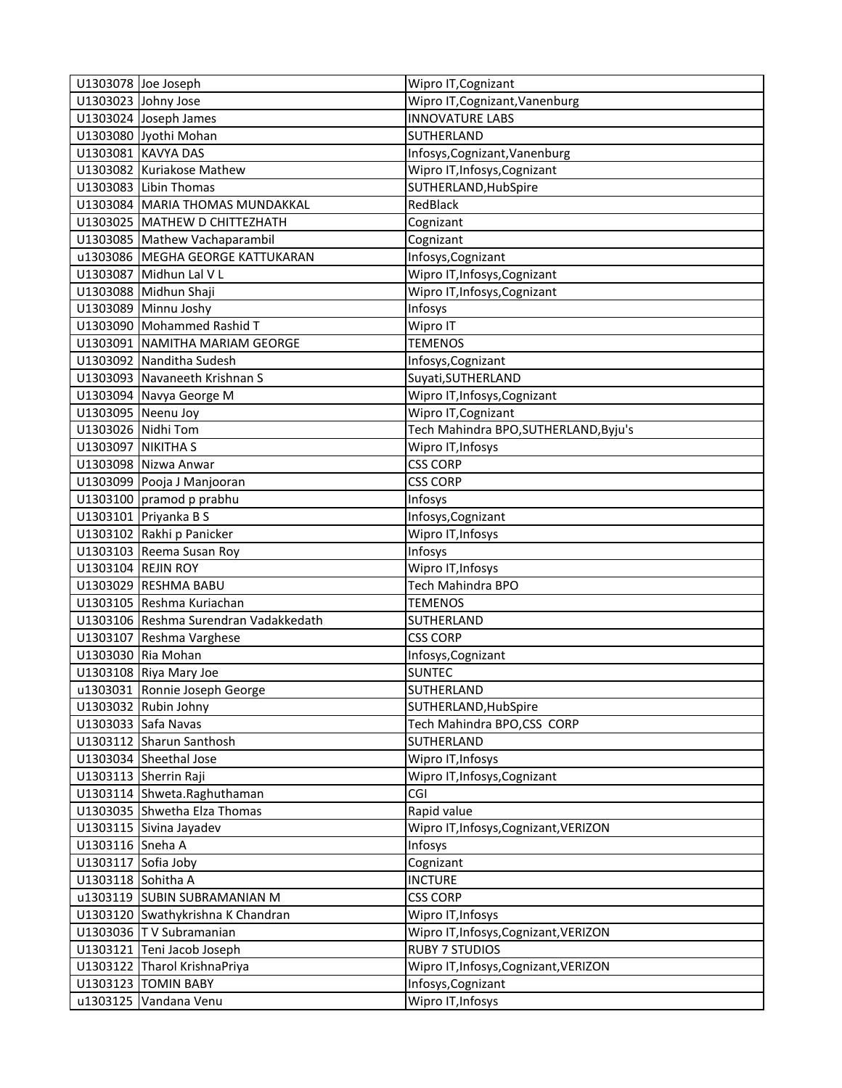|                           | U1303078 Joe Joseph                   | Wipro IT, Cognizant                   |
|---------------------------|---------------------------------------|---------------------------------------|
|                           | U1303023 Johny Jose                   | Wipro IT, Cognizant, Vanenburg        |
|                           | U1303024 Joseph James                 | <b>INNOVATURE LABS</b>                |
|                           | U1303080 Jyothi Mohan                 | SUTHERLAND                            |
|                           | U1303081 KAVYA DAS                    | Infosys, Cognizant, Vanenburg         |
|                           | U1303082 Kuriakose Mathew             | Wipro IT, Infosys, Cognizant          |
|                           | U1303083 Libin Thomas                 | SUTHERLAND, HubSpire                  |
|                           | U1303084 MARIA THOMAS MUNDAKKAL       | RedBlack                              |
|                           | U1303025 MATHEW D CHITTEZHATH         | Cognizant                             |
|                           | U1303085 Mathew Vachaparambil         | Cognizant                             |
|                           | u1303086 MEGHA GEORGE KATTUKARAN      | Infosys, Cognizant                    |
|                           | U1303087 Midhun Lal V L               | Wipro IT, Infosys, Cognizant          |
|                           | U1303088 Midhun Shaji                 | Wipro IT, Infosys, Cognizant          |
|                           | U1303089 Minnu Joshy                  | Infosys                               |
|                           | U1303090 Mohammed Rashid T            | Wipro IT                              |
|                           | U1303091 NAMITHA MARIAM GEORGE        | <b>TEMENOS</b>                        |
|                           | U1303092 Nanditha Sudesh              | Infosys, Cognizant                    |
|                           | U1303093 Navaneeth Krishnan S         | Suyati, SUTHERLAND                    |
|                           | U1303094 Navya George M               | Wipro IT, Infosys, Cognizant          |
| U1303095 Neenu Joy        |                                       | Wipro IT, Cognizant                   |
| U1303026 Nidhi Tom        |                                       | Tech Mahindra BPO, SUTHERLAND, Byju's |
| <b>U1303097 NIKITHA S</b> |                                       | Wipro IT, Infosys                     |
|                           | U1303098 Nizwa Anwar                  | <b>CSS CORP</b>                       |
|                           | U1303099 Pooja J Manjooran            | <b>CSS CORP</b>                       |
|                           | U1303100 pramod p prabhu              | Infosys                               |
|                           | U1303101 Priyanka B S                 | Infosys, Cognizant                    |
|                           | U1303102 Rakhi p Panicker             | Wipro IT, Infosys                     |
|                           | U1303103 Reema Susan Roy              | Infosys                               |
| U1303104 REJIN ROY        |                                       | Wipro IT, Infosys                     |
|                           | U1303029 RESHMA BABU                  | Tech Mahindra BPO                     |
|                           | U1303105 Reshma Kuriachan             | <b>TEMENOS</b>                        |
|                           | U1303106 Reshma Surendran Vadakkedath | SUTHERLAND                            |
|                           | U1303107 Reshma Varghese              | <b>CSS CORP</b>                       |
|                           | U1303030 Ria Mohan                    | Infosys, Cognizant                    |
|                           | U1303108 Riya Mary Joe                | <b>SUNTEC</b>                         |
|                           | u1303031 Ronnie Joseph George         | SUTHERLAND                            |
|                           | U1303032 Rubin Johny                  | SUTHERLAND, HubSpire                  |
|                           | U1303033 Safa Navas                   | Tech Mahindra BPO,CSS CORP            |
|                           | U1303112 Sharun Santhosh              | SUTHERLAND                            |
|                           | U1303034 Sheethal Jose                | Wipro IT, Infosys                     |
|                           | U1303113 Sherrin Raji                 | Wipro IT, Infosys, Cognizant          |
|                           | U1303114 Shweta.Raghuthaman           | CGI                                   |
|                           | U1303035 Shwetha Elza Thomas          | Rapid value                           |
|                           | U1303115 Sivina Jayadev               | Wipro IT, Infosys, Cognizant, VERIZON |
| U1303116 Sneha A          |                                       | Infosys                               |
| U1303117 Sofia Joby       |                                       | Cognizant                             |
| U1303118 Sohitha A        |                                       | <b>INCTURE</b>                        |
|                           | u1303119 SUBIN SUBRAMANIAN M          | <b>CSS CORP</b>                       |
|                           | U1303120 Swathykrishna K Chandran     | Wipro IT, Infosys                     |
|                           | U1303036 T V Subramanian              | Wipro IT, Infosys, Cognizant, VERIZON |
|                           | U1303121 Teni Jacob Joseph            | <b>RUBY 7 STUDIOS</b>                 |
|                           | U1303122 Tharol KrishnaPriya          | Wipro IT, Infosys, Cognizant, VERIZON |
|                           | U1303123 TOMIN BABY                   | Infosys, Cognizant                    |
|                           | u1303125 Vandana Venu                 | Wipro IT, Infosys                     |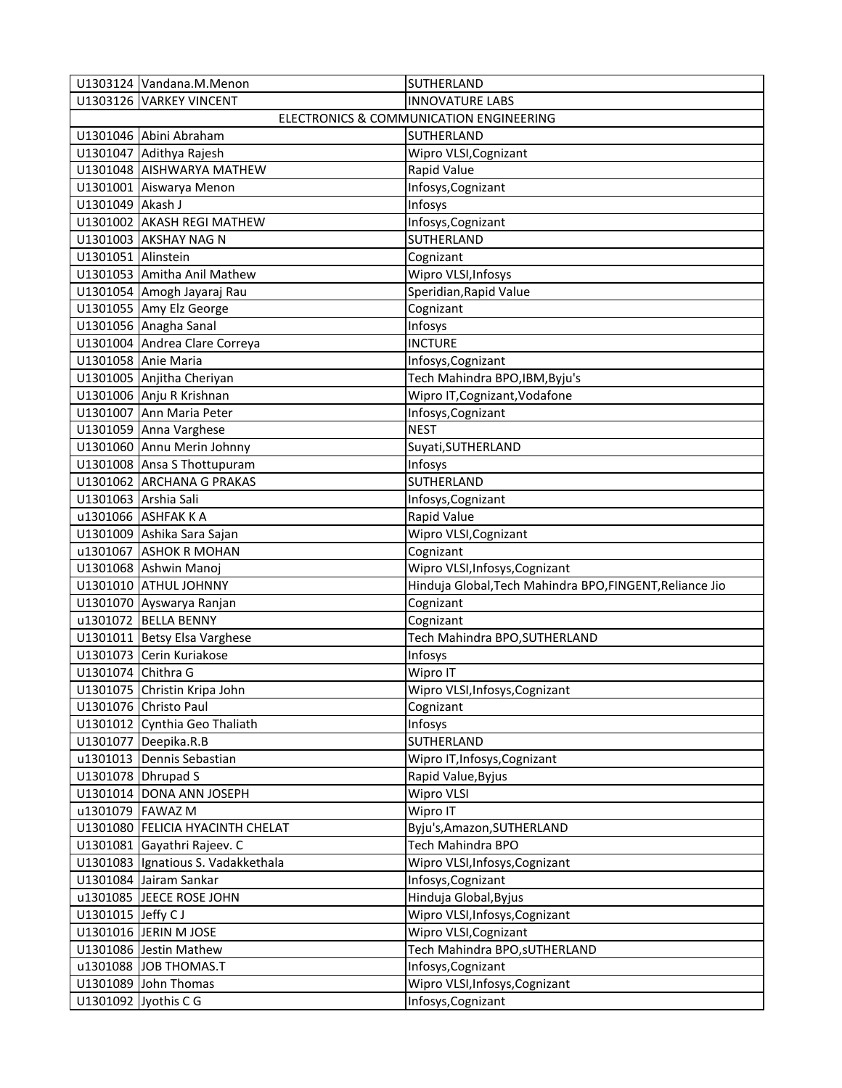|                    | U1303124 Vandana.M.Menon           | SUTHERLAND                                               |
|--------------------|------------------------------------|----------------------------------------------------------|
|                    | U1303126 VARKEY VINCENT            | <b>INNOVATURE LABS</b>                                   |
|                    |                                    | ELECTRONICS & COMMUNICATION ENGINEERING                  |
|                    | U1301046 Abini Abraham             | SUTHERLAND                                               |
|                    | U1301047 Adithya Rajesh            | Wipro VLSI, Cognizant                                    |
|                    | U1301048 AISHWARYA MATHEW          | Rapid Value                                              |
|                    | U1301001 Aiswarya Menon            | Infosys, Cognizant                                       |
| U1301049 Akash J   |                                    | Infosys                                                  |
|                    | U1301002 AKASH REGI MATHEW         | Infosys, Cognizant                                       |
|                    | U1301003 AKSHAY NAG N              | SUTHERLAND                                               |
| U1301051 Alinstein |                                    | Cognizant                                                |
|                    | U1301053 Amitha Anil Mathew        | Wipro VLSI, Infosys                                      |
|                    | U1301054 Amogh Jayaraj Rau         | Speridian, Rapid Value                                   |
|                    | U1301055 Amy Elz George            | Cognizant                                                |
|                    | U1301056 Anagha Sanal              | Infosys                                                  |
|                    | U1301004 Andrea Clare Correya      | <b>INCTURE</b>                                           |
|                    | U1301058 Anie Maria                | Infosys, Cognizant                                       |
|                    | U1301005 Anjitha Cheriyan          | Tech Mahindra BPO, IBM, Byju's                           |
|                    | U1301006 Anju R Krishnan           | Wipro IT, Cognizant, Vodafone                            |
|                    | U1301007 Ann Maria Peter           | Infosys, Cognizant                                       |
|                    | U1301059 Anna Varghese             | <b>NEST</b>                                              |
|                    | U1301060 Annu Merin Johnny         | Suyati, SUTHERLAND                                       |
|                    | U1301008 Ansa S Thottupuram        | Infosys                                                  |
|                    | U1301062 ARCHANA G PRAKAS          | <b>SUTHERLAND</b>                                        |
|                    | U1301063 Arshia Sali               | Infosys, Cognizant                                       |
|                    | u1301066 ASHFAK K A                | Rapid Value                                              |
|                    | U1301009 Ashika Sara Sajan         | Wipro VLSI, Cognizant                                    |
|                    | u1301067 ASHOK R MOHAN             | Cognizant                                                |
|                    | U1301068 Ashwin Manoj              | Wipro VLSI, Infosys, Cognizant                           |
|                    | U1301010 ATHUL JOHNNY              | Hinduja Global, Tech Mahindra BPO, FINGENT, Reliance Jio |
|                    | U1301070 Ayswarya Ranjan           | Cognizant                                                |
|                    | u1301072 BELLA BENNY               | Cognizant                                                |
|                    | U1301011 Betsy Elsa Varghese       | Tech Mahindra BPO, SUTHERLAND                            |
|                    | U1301073 Cerin Kuriakose           | <b>Infosys</b>                                           |
| U1301074 Chithra G |                                    | Wipro IT                                                 |
|                    | U1301075 Christin Kripa John       | Wipro VLSI, Infosys, Cognizant                           |
|                    | U1301076 Christo Paul              | Cognizant                                                |
|                    | U1301012 Cynthia Geo Thaliath      | Infosys                                                  |
|                    | U1301077 Deepika.R.B               | SUTHERLAND                                               |
|                    | u1301013 Dennis Sebastian          | Wipro IT, Infosys, Cognizant                             |
|                    | U1301078 Dhrupad S                 | Rapid Value, Byjus                                       |
|                    | U1301014 DONA ANN JOSEPH           | <b>Wipro VLSI</b>                                        |
| u1301079 FAWAZ M   |                                    | Wipro IT                                                 |
|                    | U1301080 FELICIA HYACINTH CHELAT   | Byju's, Amazon, SUTHERLAND                               |
|                    | U1301081 Gayathri Rajeev. C        | Tech Mahindra BPO                                        |
|                    | U1301083 Ignatious S. Vadakkethala | Wipro VLSI, Infosys, Cognizant                           |
|                    | U1301084 Jairam Sankar             | Infosys, Cognizant                                       |
|                    | u1301085 JEECE ROSE JOHN           | Hinduja Global, Byjus                                    |
| U1301015 Jeffy CJ  |                                    | Wipro VLSI, Infosys, Cognizant                           |
|                    | U1301016 JERIN M JOSE              | Wipro VLSI, Cognizant                                    |
|                    | U1301086 Jestin Mathew             | Tech Mahindra BPO, SUTHERLAND                            |
|                    | u1301088 JOB THOMAS.T              | Infosys, Cognizant                                       |
|                    | U1301089 John Thomas               | Wipro VLSI, Infosys, Cognizant                           |
|                    | U1301092 Jyothis C G               | Infosys, Cognizant                                       |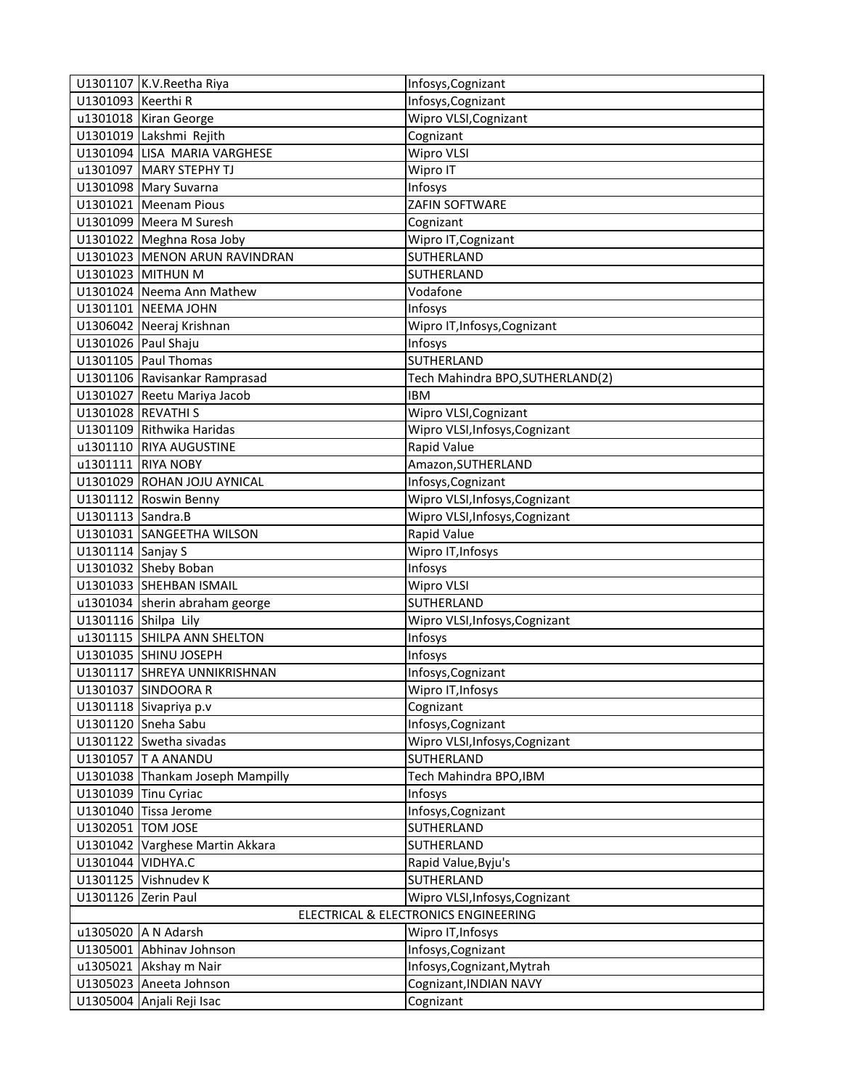|                                      | U1301107 K.V. Reetha Riya        | Infosys, Cognizant               |
|--------------------------------------|----------------------------------|----------------------------------|
| U1301093 Keerthi R                   |                                  | Infosys, Cognizant               |
|                                      | u1301018 Kiran George            | Wipro VLSI, Cognizant            |
|                                      | U1301019 Lakshmi Rejith          | Cognizant                        |
|                                      | U1301094 LISA MARIA VARGHESE     | Wipro VLSI                       |
|                                      | u1301097 MARY STEPHY TJ          | Wipro IT                         |
|                                      | U1301098 Mary Suvarna            | Infosys                          |
|                                      | U1301021 Meenam Pious            | ZAFIN SOFTWARE                   |
|                                      | U1301099 Meera M Suresh          | Cognizant                        |
|                                      | U1301022 Meghna Rosa Joby        | Wipro IT, Cognizant              |
|                                      | U1301023 MENON ARUN RAVINDRAN    | SUTHERLAND                       |
|                                      | U1301023 MITHUN M                | SUTHERLAND                       |
|                                      | U1301024 Neema Ann Mathew        | Vodafone                         |
|                                      | U1301101 NEEMA JOHN              | Infosys                          |
|                                      | U1306042 Neeraj Krishnan         | Wipro IT, Infosys, Cognizant     |
| U1301026 Paul Shaju                  |                                  | Infosys                          |
|                                      | U1301105 Paul Thomas             | <b>SUTHERLAND</b>                |
|                                      | U1301106 Ravisankar Ramprasad    | Tech Mahindra BPO, SUTHERLAND(2) |
|                                      | U1301027 Reetu Mariya Jacob      | <b>IBM</b>                       |
| U1301028 REVATHI S                   |                                  | Wipro VLSI, Cognizant            |
|                                      | U1301109 Rithwika Haridas        | Wipro VLSI, Infosys, Cognizant   |
|                                      | u1301110 RIYA AUGUSTINE          | Rapid Value                      |
|                                      | u1301111 RIYA NOBY               | Amazon, SUTHERLAND               |
|                                      | U1301029 ROHAN JOJU AYNICAL      | Infosys, Cognizant               |
|                                      | U1301112 Roswin Benny            | Wipro VLSI, Infosys, Cognizant   |
| U1301113 Sandra.B                    |                                  | Wipro VLSI, Infosys, Cognizant   |
|                                      | U1301031 SANGEETHA WILSON        | Rapid Value                      |
| U1301114 Sanjay S                    |                                  | Wipro IT, Infosys                |
|                                      | U1301032 Sheby Boban             | Infosys                          |
|                                      | U1301033 SHEHBAN ISMAIL          | Wipro VLSI                       |
|                                      | u1301034 sherin abraham george   | SUTHERLAND                       |
| U1301116 Shilpa Lily                 |                                  | Wipro VLSI, Infosys, Cognizant   |
|                                      | u1301115 SHILPA ANN SHELTON      | Infosys                          |
|                                      | U1301035 SHINU JOSEPH            | Infosys                          |
|                                      | U1301117 SHREYA UNNIKRISHNAN     | Infosys, Cognizant               |
|                                      | U1301037 SINDOORA R              | Wipro IT, Infosys                |
|                                      | U1301118 Sivapriya p.v           | Cognizant                        |
|                                      | U1301120 Sneha Sabu              | Infosys, Cognizant               |
|                                      | U1301122 Swetha sivadas          | Wipro VLSI, Infosys, Cognizant   |
|                                      | U1301057 T A ANANDU              | SUTHERLAND                       |
|                                      | U1301038 Thankam Joseph Mampilly | Tech Mahindra BPO, IBM           |
|                                      | U1301039 Tinu Cyriac             | Infosys                          |
|                                      | U1301040 Tissa Jerome            | Infosys, Cognizant               |
| U1302051 TOM JOSE                    |                                  | SUTHERLAND                       |
|                                      | U1301042 Varghese Martin Akkara  | SUTHERLAND                       |
| U1301044 VIDHYA.C                    |                                  | Rapid Value, Byju's              |
|                                      | U1301125 Vishnudev K             | SUTHERLAND                       |
| U1301126 Zerin Paul                  |                                  | Wipro VLSI, Infosys, Cognizant   |
| ELECTRICAL & ELECTRONICS ENGINEERING |                                  |                                  |
|                                      | u1305020 A N Adarsh              | Wipro IT, Infosys                |
|                                      | U1305001 Abhinav Johnson         | Infosys, Cognizant               |
|                                      | u1305021 Akshay m Nair           | Infosys, Cognizant, Mytrah       |
|                                      | U1305023 Aneeta Johnson          | Cognizant, INDIAN NAVY           |
|                                      | U1305004 Anjali Reji Isac        | Cognizant                        |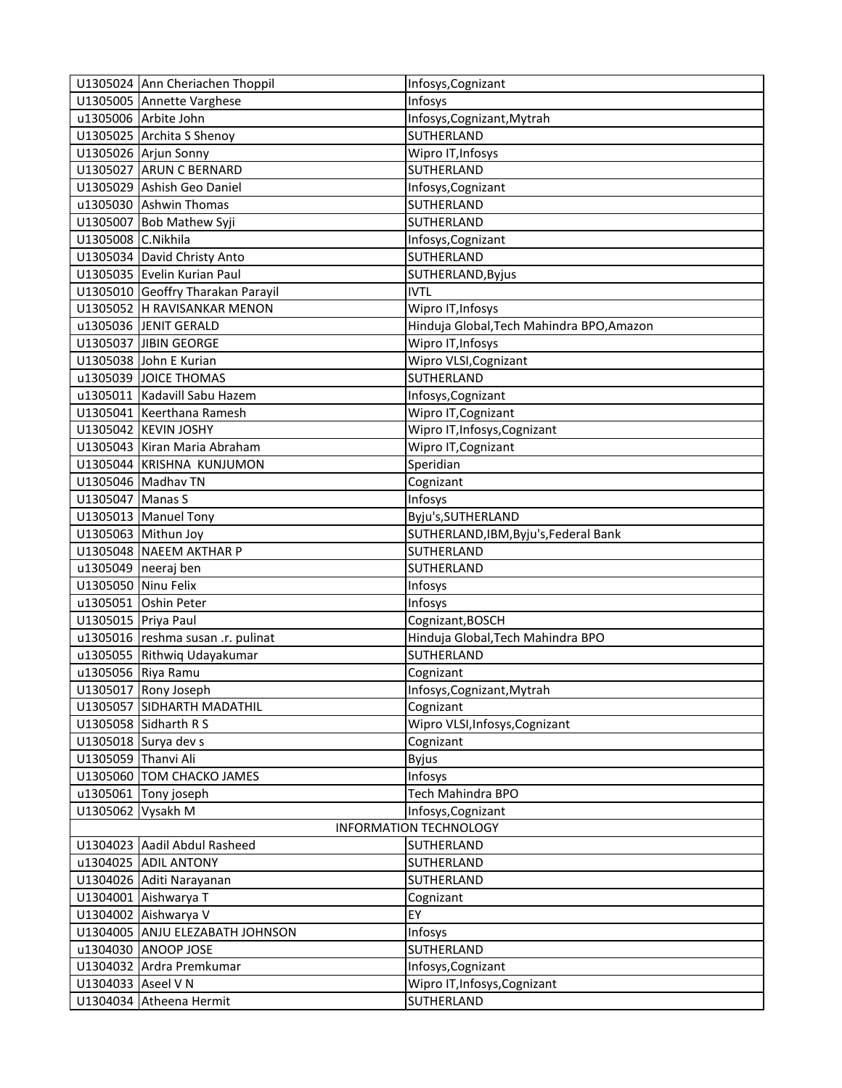|                               | U1305024 Ann Cheriachen Thoppil   | Infosys, Cognizant                        |
|-------------------------------|-----------------------------------|-------------------------------------------|
|                               | U1305005 Annette Varghese         | Infosys                                   |
|                               | u1305006 Arbite John              | Infosys, Cognizant, Mytrah                |
|                               | U1305025 Archita S Shenoy         | SUTHERLAND                                |
|                               | U1305026 Arjun Sonny              | Wipro IT, Infosys                         |
|                               | U1305027 ARUN C BERNARD           | SUTHERLAND                                |
|                               | U1305029 Ashish Geo Daniel        | Infosys, Cognizant                        |
|                               | u1305030 Ashwin Thomas            | SUTHERLAND                                |
|                               | U1305007 Bob Mathew Syji          | SUTHERLAND                                |
| U1305008 C.Nikhila            |                                   | Infosys, Cognizant                        |
|                               | U1305034 David Christy Anto       | SUTHERLAND                                |
|                               | U1305035 Evelin Kurian Paul       | SUTHERLAND, Byjus                         |
|                               | U1305010 Geoffry Tharakan Parayil | <b>IVTL</b>                               |
|                               | U1305052 H RAVISANKAR MENON       | Wipro IT, Infosys                         |
|                               | u1305036 JENIT GERALD             | Hinduja Global, Tech Mahindra BPO, Amazon |
|                               | U1305037 JIBIN GEORGE             | Wipro IT, Infosys                         |
|                               | U1305038 John E Kurian            | Wipro VLSI, Cognizant                     |
|                               | u1305039 JOICE THOMAS             | SUTHERLAND                                |
|                               | u1305011 Kadavill Sabu Hazem      | Infosys, Cognizant                        |
|                               | U1305041 Keerthana Ramesh         | Wipro IT, Cognizant                       |
|                               | U1305042 KEVIN JOSHY              | Wipro IT, Infosys, Cognizant              |
|                               | U1305043 Kiran Maria Abraham      | Wipro IT, Cognizant                       |
|                               | U1305044 KRISHNA KUNJUMON         | Speridian                                 |
|                               | U1305046 Madhav TN                | Cognizant                                 |
| U1305047 Manas S              |                                   | Infosys                                   |
|                               | U1305013 Manuel Tony              | Byju's, SUTHERLAND                        |
|                               | U1305063 Mithun Joy               | SUTHERLAND, IBM, Byju's, Federal Bank     |
|                               | U1305048 NAEEM AKTHAR P           | SUTHERLAND                                |
|                               | $u1305049$ neeraj ben             | SUTHERLAND                                |
| U1305050 Ninu Felix           |                                   | Infosys                                   |
|                               | u1305051 Oshin Peter              | Infosys                                   |
| U1305015 Priya Paul           |                                   | Cognizant, BOSCH                          |
|                               | u1305016 reshma susan .r. pulinat | Hinduja Global, Tech Mahindra BPO         |
|                               | u1305055 Rithwiq Udayakumar       | SUTHERLAND                                |
| u1305056 Riya Ramu            |                                   | Cognizant                                 |
|                               | U1305017 Rony Joseph              | Infosys, Cognizant, Mytrah                |
|                               | U1305057 SIDHARTH MADATHIL        | Cognizant                                 |
|                               | U1305058 Sidharth R S             | Wipro VLSI, Infosys, Cognizant            |
|                               | U1305018 Surya dev s              | Cognizant                                 |
| U1305059 Thanvi Ali           |                                   | <b>Byjus</b>                              |
|                               | U1305060 TOM CHACKO JAMES         | Infosys                                   |
|                               | u1305061 Tony joseph              | Tech Mahindra BPO                         |
| U1305062 Vysakh M             |                                   | Infosys, Cognizant                        |
| <b>INFORMATION TECHNOLOGY</b> |                                   |                                           |
|                               | U1304023 Aadil Abdul Rasheed      | SUTHERLAND                                |
|                               | u1304025 ADIL ANTONY              | SUTHERLAND                                |
|                               | U1304026 Aditi Narayanan          | SUTHERLAND                                |
|                               | U1304001 Aishwarya T              | Cognizant                                 |
|                               | U1304002 Aishwarya V              | EY                                        |
|                               | U1304005 ANJU ELEZABATH JOHNSON   | Infosys                                   |
|                               | u1304030 ANOOP JOSE               | SUTHERLAND                                |
|                               | U1304032 Ardra Premkumar          | Infosys, Cognizant                        |
| U1304033 Aseel V N            |                                   | Wipro IT, Infosys, Cognizant              |
|                               | U1304034 Atheena Hermit           | SUTHERLAND                                |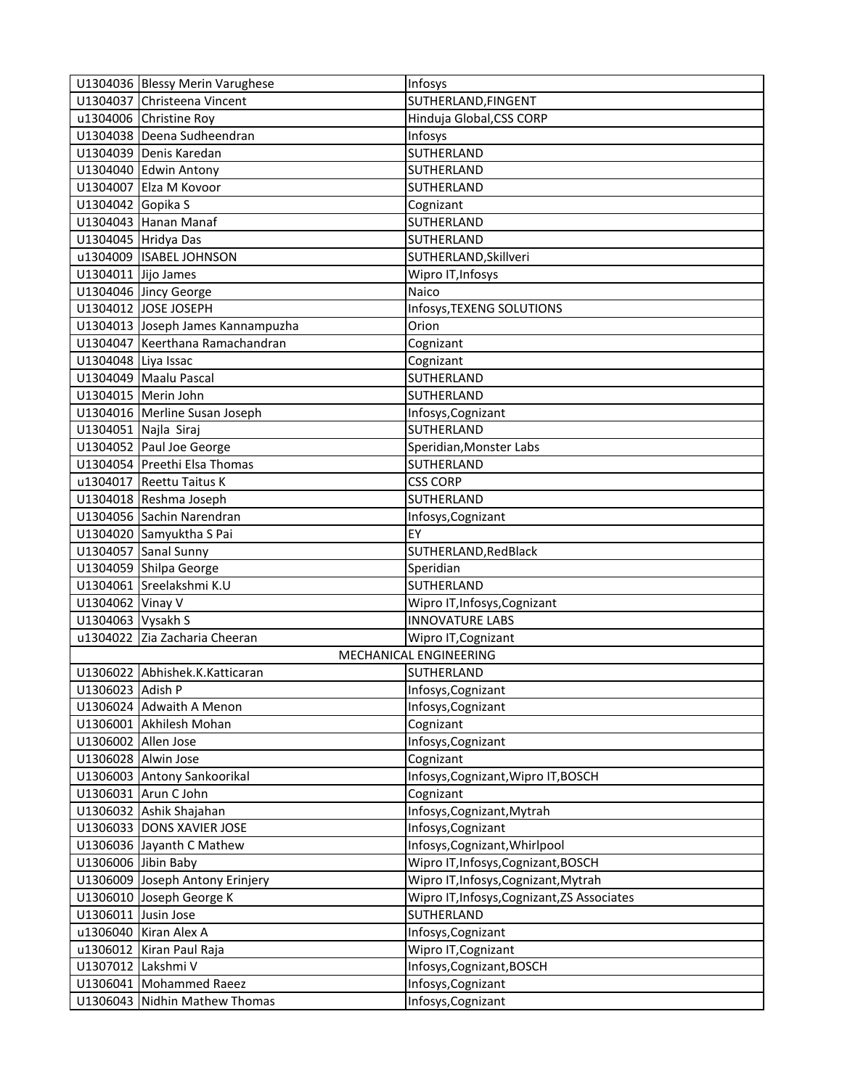|                      | U1304036 Blessy Merin Varughese   | Infosys                                     |
|----------------------|-----------------------------------|---------------------------------------------|
|                      | U1304037 Christeena Vincent       | SUTHERLAND, FINGENT                         |
|                      | u1304006 Christine Roy            | Hinduja Global, CSS CORP                    |
|                      | U1304038 Deena Sudheendran        | Infosys                                     |
|                      | U1304039 Denis Karedan            | SUTHERLAND                                  |
|                      | U1304040 Edwin Antony             | SUTHERLAND                                  |
|                      | U1304007 Elza M Kovoor            | SUTHERLAND                                  |
| U1304042 Gopika S    |                                   | Cognizant                                   |
|                      | U1304043 Hanan Manaf              | SUTHERLAND                                  |
|                      | U1304045 Hridya Das               | SUTHERLAND                                  |
|                      | u1304009 ISABEL JOHNSON           | SUTHERLAND, Skillveri                       |
| U1304011 Jijo James  |                                   | Wipro IT, Infosys                           |
|                      | U1304046 Jincy George             | Naico                                       |
|                      | U1304012 JOSE JOSEPH              | Infosys, TEXENG SOLUTIONS                   |
|                      | U1304013 Joseph James Kannampuzha | Orion                                       |
|                      | U1304047 Keerthana Ramachandran   | Cognizant                                   |
| U1304048 Liya Issac  |                                   | Cognizant                                   |
|                      | U1304049 Maalu Pascal             | SUTHERLAND                                  |
|                      | U1304015 Merin John               | SUTHERLAND                                  |
|                      | U1304016 Merline Susan Joseph     | Infosys, Cognizant                          |
| U1304051 Najla Siraj |                                   | SUTHERLAND                                  |
|                      | U1304052 Paul Joe George          | Speridian, Monster Labs                     |
|                      | U1304054 Preethi Elsa Thomas      | SUTHERLAND                                  |
|                      | u1304017 Reettu Taitus K          | <b>CSS CORP</b>                             |
|                      | U1304018 Reshma Joseph            | SUTHERLAND                                  |
|                      | U1304056 Sachin Narendran         | Infosys, Cognizant                          |
|                      | U1304020 Samyuktha S Pai          | EY                                          |
|                      | U1304057 Sanal Sunny              | SUTHERLAND, RedBlack                        |
|                      | U1304059 Shilpa George            | Speridian                                   |
|                      | U1304061 Sreelakshmi K.U          | SUTHERLAND                                  |
| U1304062 Vinay V     |                                   | Wipro IT, Infosys, Cognizant                |
| U1304063 Vysakh S    |                                   | <b>INNOVATURE LABS</b>                      |
|                      | u1304022 Zia Zacharia Cheeran     | Wipro IT, Cognizant                         |
|                      |                                   | MECHANICAL ENGINEERING                      |
|                      | U1306022 Abhishek.K.Katticaran    | SUTHERLAND                                  |
| U1306023 Adish P     |                                   | Infosys, Cognizant                          |
|                      | U1306024 Adwaith A Menon          | Infosys, Cognizant                          |
|                      | U1306001 Akhilesh Mohan           | Cognizant                                   |
| U1306002 Allen Jose  |                                   | Infosys, Cognizant                          |
| U1306028 Alwin Jose  |                                   | Cognizant                                   |
|                      | U1306003 Antony Sankoorikal       | Infosys, Cognizant, Wipro IT, BOSCH         |
|                      | U1306031 Arun C John              | Cognizant                                   |
|                      | U1306032 Ashik Shajahan           | Infosys, Cognizant, Mytrah                  |
|                      | U1306033 DONS XAVIER JOSE         | Infosys, Cognizant                          |
|                      | U1306036 Jayanth C Mathew         | Infosys, Cognizant, Whirlpool               |
| U1306006 Jibin Baby  |                                   | Wipro IT, Infosys, Cognizant, BOSCH         |
|                      | U1306009 Joseph Antony Erinjery   | Wipro IT, Infosys, Cognizant, Mytrah        |
|                      | U1306010 Joseph George K          | Wipro IT, Infosys, Cognizant, ZS Associates |
| U1306011 Jusin Jose  |                                   | SUTHERLAND                                  |
|                      | u1306040 Kiran Alex A             | Infosys, Cognizant                          |
|                      | u1306012 Kiran Paul Raja          | Wipro IT, Cognizant                         |
| U1307012 Lakshmi V   |                                   | Infosys, Cognizant, BOSCH                   |
|                      | U1306041 Mohammed Raeez           | Infosys, Cognizant                          |
|                      | U1306043 Nidhin Mathew Thomas     | Infosys, Cognizant                          |